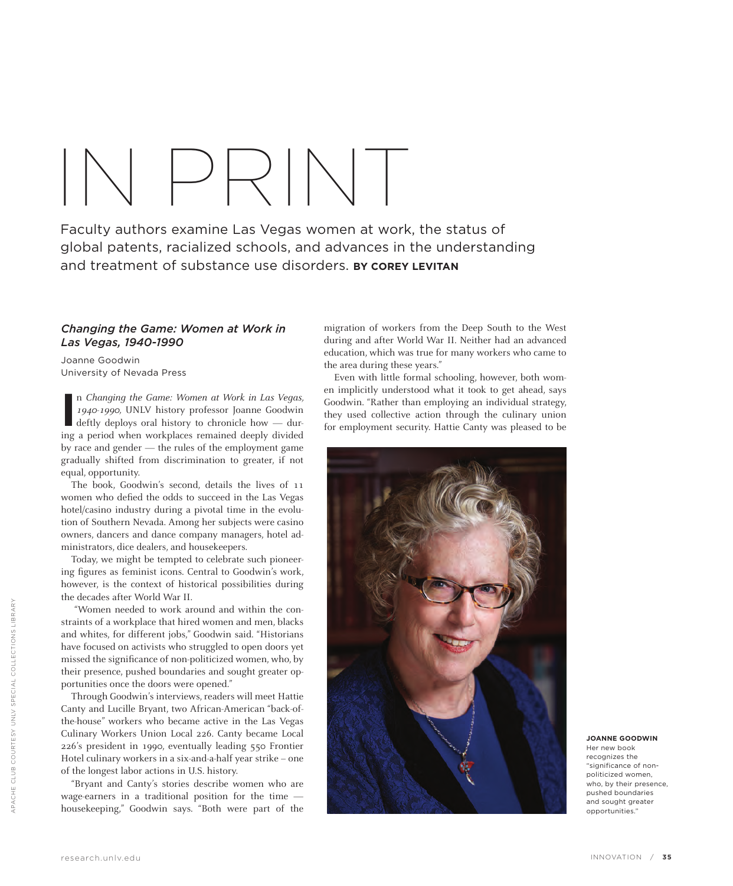# IN PRINT

Faculty authors examine Las Vegas women at work, the status of global patents, racialized schools, and advances in the understanding and treatment of substance use disorders. **BY COREY LEVITAN**

## *Changing the Game: Women at Work in Las Vegas, 1940-1990*

Joanne Goodwin University of Nevada Press

In Changing the Game: Women at Work in Las Vegas, 1940-1990, UNLV history professor Joanne Goodwin deftly deploys oral history to chronicle how — durn *Changing the Game: Women at Work in Las Vegas, 1940-1990,* UNLV history professor Joanne Goodwin ing a period when workplaces remained deeply divided by race and gender — the rules of the employment game gradually shifted from discrimination to greater, if not equal, opportunity.

The book, Goodwin's second, details the lives of 11 women who defied the odds to succeed in the Las Vegas hotel/casino industry during a pivotal time in the evolution of Southern Nevada. Among her subjects were casino owners, dancers and dance company managers, hotel administrators, dice dealers, and housekeepers.

Today, we might be tempted to celebrate such pioneering figures as feminist icons. Central to Goodwin's work, however, is the context of historical possibilities during the decades after World War II.

 "Women needed to work around and within the constraints of a workplace that hired women and men, blacks and whites, for different jobs," Goodwin said. "Historians have focused on activists who struggled to open doors yet missed the significance of non-politicized women, who, by their presence, pushed boundaries and sought greater opportunities once the doors were opened."

Through Goodwin's interviews, readers will meet Hattie Canty and Lucille Bryant, two African-American "back-ofthe-house" workers who became active in the Las Vegas Culinary Workers Union Local 226. Canty became Local 226's president in 1990, eventually leading 550 Frontier Hotel culinary workers in a six-and-a-half year strike – one of the longest labor actions in U.S. history.

"Bryant and Canty's stories describe women who are wage-earners in a traditional position for the time housekeeping," Goodwin says. "Both were part of the migration of workers from the Deep South to the West during and after World War II. Neither had an advanced education, which was true for many workers who came to the area during these years."

Even with little formal schooling, however, both women implicitly understood what it took to get ahead, says Goodwin. "Rather than employing an individual strategy, they used collective action through the culinary union for employment security. Hattie Canty was pleased to be



**JOANNE GOODWIN** 

Her new book recognizes the "significance of nonpoliticized women, who, by their presence, pushed boundaries and sought greater opportunities."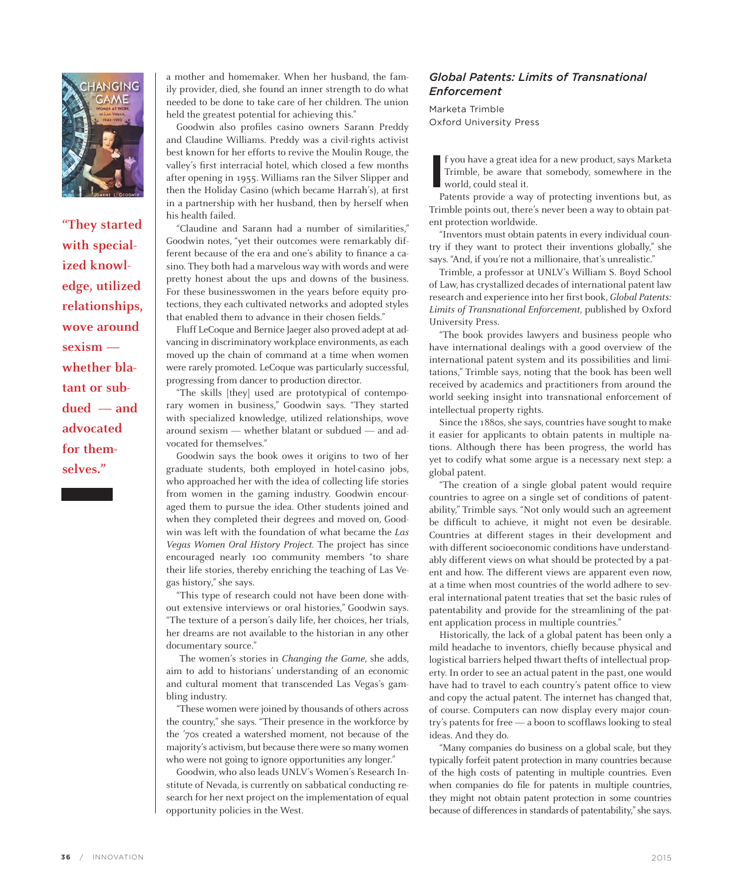

**"They started with specialized knowledge, utilized relationships, wove around sexism whether blatant or subdued — and advocated for themselves."**

a mother and homemaker. When her husband, the family provider, died, she found an inner strength to do what needed to be done to take care of her children. The union held the greatest potential for achieving this."

Goodwin also profiles casino owners Sarann Preddy and Claudine Williams. Preddy was a civil-rights activist best known for her efforts to revive the Moulin Rouge, the valley's first interracial hotel, which closed a few months after opening in 1955. Williams ran the Silver Slipper and then the Holiday Casino (which became Harrah's), at first in a partnership with her husband, then by herself when his health failed.

"Claudine and Sarann had a number of similarities," Goodwin notes, "yet their outcomes were remarkably different because of the era and one's ability to finance a casino. They both had a marvelous way with words and were pretty honest about the ups and downs of the business. For these businesswomen in the years before equity protections, they each cultivated networks and adopted styles that enabled them to advance in their chosen fields."

Fluff LeCoque and Bernice Jaeger also proved adept at advancing in discriminatory workplace environments, as each moved up the chain of command at a time when women were rarely promoted. LeCoque was particularly successful, progressing from dancer to production director.

"The skills [they] used are prototypical of contemporary women in business," Goodwin says. "They started with specialized knowledge, utilized relationships, wove around sexism — whether blatant or subdued — and advocated for themselves."

Goodwin says the book owes it origins to two of her graduate students, both employed in hotel-casino jobs, who approached her with the idea of collecting life stories from women in the gaming industry. Goodwin encouraged them to pursue the idea. Other students joined and when they completed their degrees and moved on, Goodwin was left with the foundation of what became the *Las Vegas Women Oral History Project.* The project has since encouraged nearly 100 community members "to share their life stories, thereby enriching the teaching of Las Vegas history," she says.

"This type of research could not have been done without extensive interviews or oral histories," Goodwin says. "The texture of a person's daily life, her choices, her trials, her dreams are not available to the historian in any other documentary source."

 The women's stories in *Changing the Game*, she adds, aim to add to historians' understanding of an economic and cultural moment that transcended Las Vegas's gambling industry.

"These women were joined by thousands of others across the country," she says. "Their presence in the workforce by the '70s created a watershed moment, not because of the majority's activism, but because there were so many women who were not going to ignore opportunities any longer."

Goodwin, who also leads UNLV's Women's Research Institute of Nevada, is currently on sabbatical conducting research for her next project on the implementation of equal opportunity policies in the West.

# *Global Patents: Limits of Transnational Enforcement*

Marketa Trimble Oxford University Press

**I** f you have a great idea for a new product, says Marketa Trimble, be aware that somebody, somewhere in the world, could steal it.

Patents provide a way of protecting inventions but, as Trimble points out, there's never been a way to obtain patent protection worldwide.

"Inventors must obtain patents in every individual country if they want to protect their inventions globally," she says. "And, if you're not a millionaire, that's unrealistic."

Trimble, a professor at UNLV's William S. Boyd School of Law, has crystallized decades of international patent law research and experience into her first book, *Global Patents: Limits of Transnational Enforcement,* published by Oxford University Press.

"The book provides lawyers and business people who have international dealings with a good overview of the international patent system and its possibilities and limitations," Trimble says, noting that the book has been well received by academics and practitioners from around the world seeking insight into transnational enforcement of intellectual property rights.

Since the 1880s, she says, countries have sought to make it easier for applicants to obtain patents in multiple nations. Although there has been progress, the world has yet to codify what some argue is a necessary next step: a global patent.

"The creation of a single global patent would require countries to agree on a single set of conditions of patentability," Trimble says. "Not only would such an agreement be difficult to achieve, it might not even be desirable. Countries at different stages in their development and with different socioeconomic conditions have understandably different views on what should be protected by a patent and how. The different views are apparent even now, at a time when most countries of the world adhere to several international patent treaties that set the basic rules of patentability and provide for the streamlining of the patent application process in multiple countries."

Historically, the lack of a global patent has been only a mild headache to inventors, chiefly because physical and logistical barriers helped thwart thefts of intellectual property. In order to see an actual patent in the past, one would have had to travel to each country's patent office to view and copy the actual patent. The internet has changed that, of course. Computers can now display every major country's patents for free — a boon to scofflaws looking to steal ideas. And they do.

"Many companies do business on a global scale, but they typically forfeit patent protection in many countries because of the high costs of patenting in multiple countries. Even when companies do file for patents in multiple countries, they might not obtain patent protection in some countries because of differences in standards of patentability," she says.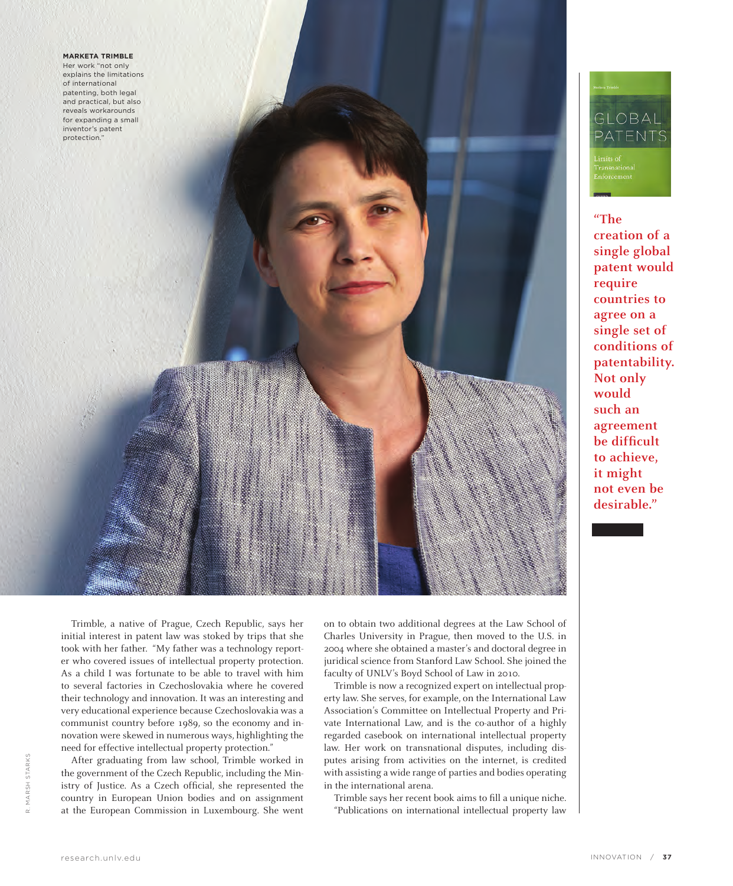

Trimble, a native of Prague, Czech Republic, says her initial interest in patent law was stoked by trips that she took with her father. "My father was a technology reporter who covered issues of intellectual property protection. As a child I was fortunate to be able to travel with him to several factories in Czechoslovakia where he covered their technology and innovation. It was an interesting and very educational experience because Czechoslovakia was a communist country before 1989, so the economy and innovation were skewed in numerous ways, highlighting the need for effective intellectual property protection."

After graduating from law school, Trimble worked in the government of the Czech Republic, including the Ministry of Justice. As a Czech official, she represented the country in European Union bodies and on assignment at the European Commission in Luxembourg. She went on to obtain two additional degrees at the Law School of Charles University in Prague, then moved to the U.S. in 2004 where she obtained a master's and doctoral degree in juridical science from Stanford Law School. She joined the faculty of UNLV's Boyd School of Law in 2010.

Trimble is now a recognized expert on intellectual property law. She serves, for example, on the International Law Association's Committee on Intellectual Property and Private International Law, and is the co-author of a highly regarded casebook on international intellectual property law. Her work on transnational disputes, including disputes arising from activities on the internet, is credited with assisting a wide range of parties and bodies operating in the international arena.

Trimble says her recent book aims to fill a unique niche. "Publications on international intellectual property law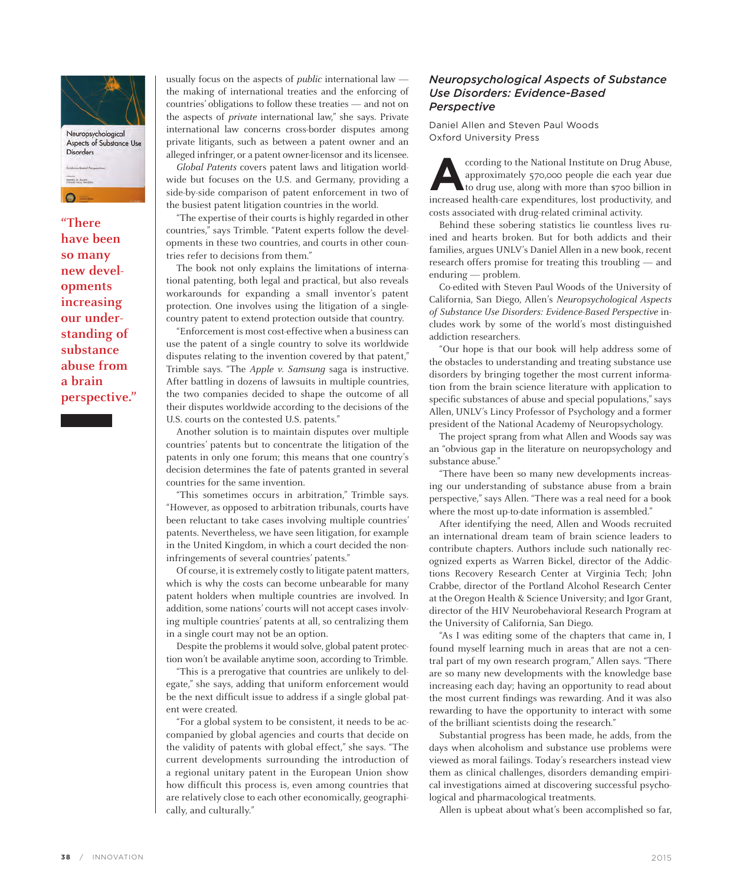

**"There have been so many new developments increasing our understanding of substance abuse from a brain perspective."**  usually focus on the aspects of *public* international law the making of international treaties and the enforcing of countries' obligations to follow these treaties — and not on the aspects of *private* international law," she says. Private international law concerns cross-border disputes among private litigants, such as between a patent owner and an alleged infringer, or a patent owner-licensor and its licensee.

*Global Patents* covers patent laws and litigation worldwide but focuses on the U.S. and Germany, providing a side-by-side comparison of patent enforcement in two of the busiest patent litigation countries in the world.

"The expertise of their courts is highly regarded in other countries," says Trimble. "Patent experts follow the developments in these two countries, and courts in other countries refer to decisions from them."

The book not only explains the limitations of international patenting, both legal and practical, but also reveals workarounds for expanding a small inventor's patent protection. One involves using the litigation of a singlecountry patent to extend protection outside that country.

"Enforcement is most cost-effective when a business can use the patent of a single country to solve its worldwide disputes relating to the invention covered by that patent," Trimble says. "The *Apple v. Samsung* saga is instructive. After battling in dozens of lawsuits in multiple countries, the two companies decided to shape the outcome of all their disputes worldwide according to the decisions of the U.S. courts on the contested U.S. patents."

Another solution is to maintain disputes over multiple countries' patents but to concentrate the litigation of the patents in only one forum; this means that one country's decision determines the fate of patents granted in several countries for the same invention.

"This sometimes occurs in arbitration," Trimble says. "However, as opposed to arbitration tribunals, courts have been reluctant to take cases involving multiple countries' patents. Nevertheless, we have seen litigation, for example in the United Kingdom, in which a court decided the noninfringements of several countries' patents."

Of course, it is extremely costly to litigate patent matters, which is why the costs can become unbearable for many patent holders when multiple countries are involved. In addition, some nations' courts will not accept cases involving multiple countries' patents at all, so centralizing them in a single court may not be an option.

Despite the problems it would solve, global patent protection won't be available anytime soon, according to Trimble.

"This is a prerogative that countries are unlikely to delegate," she says, adding that uniform enforcement would be the next difficult issue to address if a single global patent were created.

"For a global system to be consistent, it needs to be accompanied by global agencies and courts that decide on the validity of patents with global effect," she says. "The current developments surrounding the introduction of a regional unitary patent in the European Union show how difficult this process is, even among countries that are relatively close to each other economically, geographically, and culturally."

### *Neuropsychological Aspects of Substance Use Disorders: Evidence-Based Perspective*

Daniel Allen and Steven Paul Woods Oxford University Press

**According to the National Institute on Drug Abuse, approximately 570,000 people die each year due to drug use, along with more than 5700 billion in** approximately 570,000 people die each year due to drug use, along with more than \$700 billion in increased health-care expenditures, lost productivity, and costs associated with drug-related criminal activity.

Behind these sobering statistics lie countless lives ruined and hearts broken. But for both addicts and their families, argues UNLV's Daniel Allen in a new book, recent research offers promise for treating this troubling — and enduring — problem.

Co-edited with Steven Paul Woods of the University of California, San Diego, Allen's *Neuropsychological Aspects of Substance Use Disorders: Evidence-Based Perspective* includes work by some of the world's most distinguished addiction researchers.

"Our hope is that our book will help address some of the obstacles to understanding and treating substance use disorders by bringing together the most current information from the brain science literature with application to specific substances of abuse and special populations," says Allen, UNLV's Lincy Professor of Psychology and a former president of the National Academy of Neuropsychology.

The project sprang from what Allen and Woods say was an "obvious gap in the literature on neuropsychology and substance abuse."

"There have been so many new developments increasing our understanding of substance abuse from a brain perspective," says Allen. "There was a real need for a book where the most up-to-date information is assembled."

After identifying the need, Allen and Woods recruited an international dream team of brain science leaders to contribute chapters. Authors include such nationally recognized experts as Warren Bickel, director of the Addictions Recovery Research Center at Virginia Tech; John Crabbe, director of the Portland Alcohol Research Center at the Oregon Health & Science University; and Igor Grant, director of the HIV Neurobehavioral Research Program at the University of California, San Diego.

"As I was editing some of the chapters that came in, I found myself learning much in areas that are not a central part of my own research program," Allen says. "There are so many new developments with the knowledge base increasing each day; having an opportunity to read about the most current findings was rewarding. And it was also rewarding to have the opportunity to interact with some of the brilliant scientists doing the research."

Substantial progress has been made, he adds, from the days when alcoholism and substance use problems were viewed as moral failings. Today's researchers instead view them as clinical challenges, disorders demanding empirical investigations aimed at discovering successful psychological and pharmacological treatments.

Allen is upbeat about what's been accomplished so far,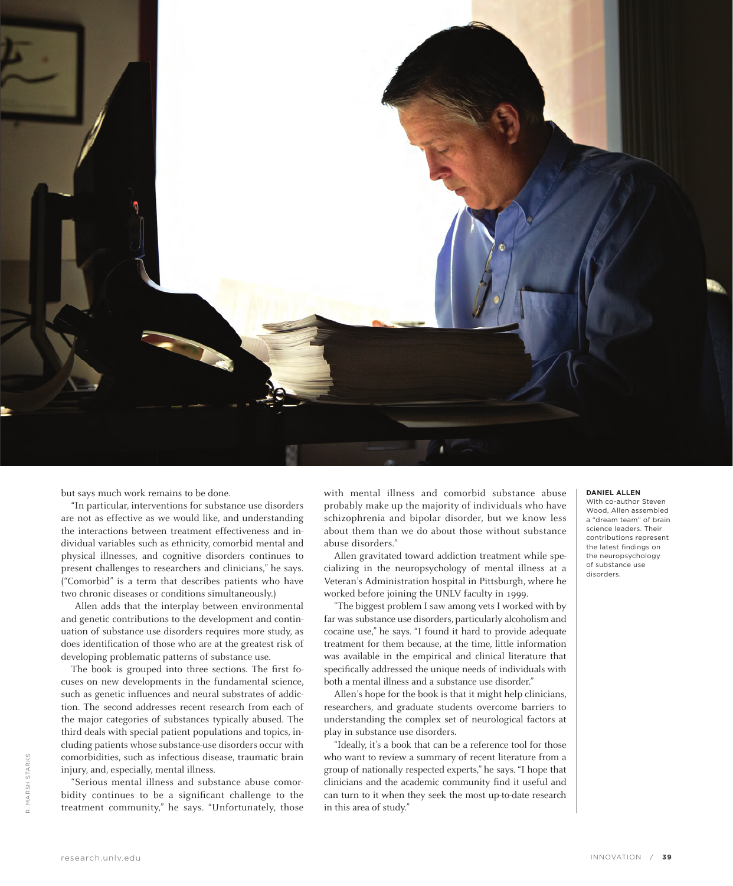

but says much work remains to be done.

"In particular, interventions for substance use disorders are not as effective as we would like, and understanding the interactions between treatment effectiveness and individual variables such as ethnicity, comorbid mental and physical illnesses, and cognitive disorders continues to present challenges to researchers and clinicians," he says. ("Comorbid" is a term that describes patients who have two chronic diseases or conditions simultaneously.)

 Allen adds that the interplay between environmental and genetic contributions to the development and continuation of substance use disorders requires more study, as does identification of those who are at the greatest risk of developing problematic patterns of substance use.

The book is grouped into three sections. The first focuses on new developments in the fundamental science, such as genetic influences and neural substrates of addiction. The second addresses recent research from each of the major categories of substances typically abused. The third deals with special patient populations and topics, including patients whose substance-use disorders occur with comorbidities, such as infectious disease, traumatic brain injury, and, especially, mental illness.

"Serious mental illness and substance abuse comorbidity continues to be a significant challenge to the treatment community," he says. "Unfortunately, those

with mental illness and comorbid substance abuse probably make up the majority of individuals who have schizophrenia and bipolar disorder, but we know less about them than we do about those without substance abuse disorders."

Allen gravitated toward addiction treatment while specializing in the neuropsychology of mental illness at a Veteran's Administration hospital in Pittsburgh, where he worked before joining the UNLV faculty in 1999.

"The biggest problem I saw among vets I worked with by far was substance use disorders, particularly alcoholism and cocaine use," he says. "I found it hard to provide adequate treatment for them because, at the time, little information was available in the empirical and clinical literature that specifically addressed the unique needs of individuals with both a mental illness and a substance use disorder."

Allen's hope for the book is that it might help clinicians, researchers, and graduate students overcome barriers to understanding the complex set of neurological factors at play in substance use disorders.

"Ideally, it's a book that can be a reference tool for those who want to review a summary of recent literature from a group of nationally respected experts," he says. "I hope that clinicians and the academic community find it useful and can turn to it when they seek the most up-to-date research in this area of study."

#### **DANIEL ALLEN**

With co-author Steven Wood, Allen assembled a "dream team" of brain science leaders. Their contributions represent the latest findings on the neuropsychology of substance use disorders.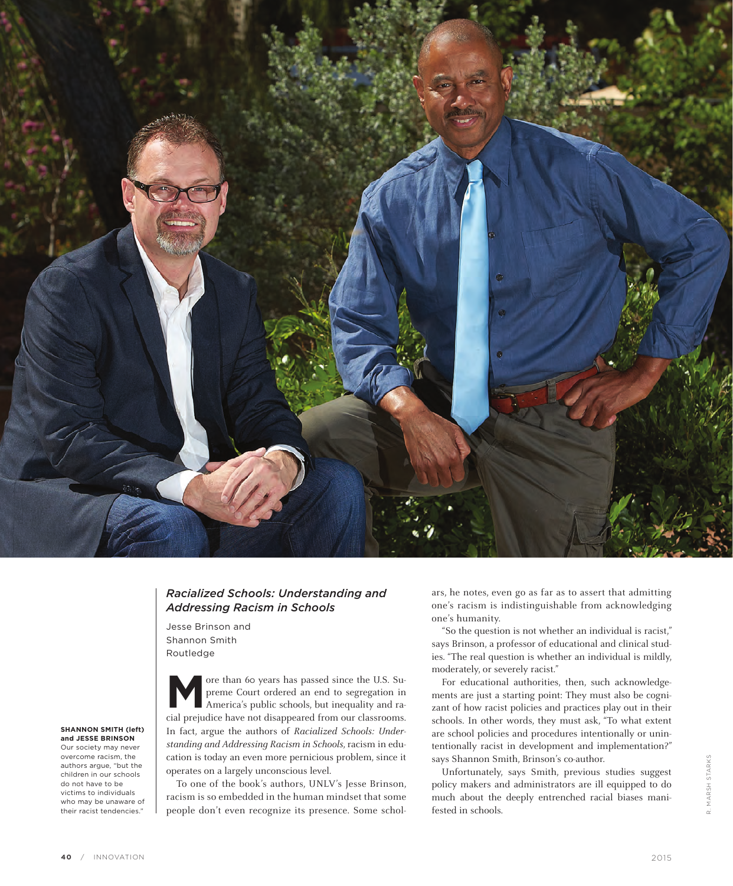

# *Racialized Schools: Understanding and Addressing Racism in Schools*

Shannon Smith Routledge

**SHANNON SMITH (left) and JESSE BRINSON** 

Our society may never overcome racism, the authors argue, "but the children in our schools do not have to be victims to individuals who may be unaware of their racist tendencies."

Jesse Brinson and

**M** ore than 60 years has passed since the U.S. Supreme Court ordered an end to segregation in America's public schools, but inequality and rapreme Court ordered an end to segregation in cial prejudice have not disappeared from our classrooms. In fact, argue the authors of *Racialized Schools: Understanding and Addressing Racism in Schools*, racism in education is today an even more pernicious problem, since it operates on a largely unconscious level.

To one of the book's authors, UNLV's Jesse Brinson, racism is so embedded in the human mindset that some people don't even recognize its presence. Some scholars, he notes, even go as far as to assert that admitting one's racism is indistinguishable from acknowledging one's humanity.

"So the question is not whether an individual is racist," says Brinson, a professor of educational and clinical studies. "The real question is whether an individual is mildly, moderately, or severely racist."

For educational authorities, then, such acknowledgements are just a starting point: They must also be cognizant of how racist policies and practices play out in their schools. In other words, they must ask, "To what extent are school policies and procedures intentionally or unintentionally racist in development and implementation?" says Shannon Smith, Brinson's co-author.

Unfortunately, says Smith, previous studies suggest policy makers and administrators are ill equipped to do much about the deeply entrenched racial biases manifested in schools.